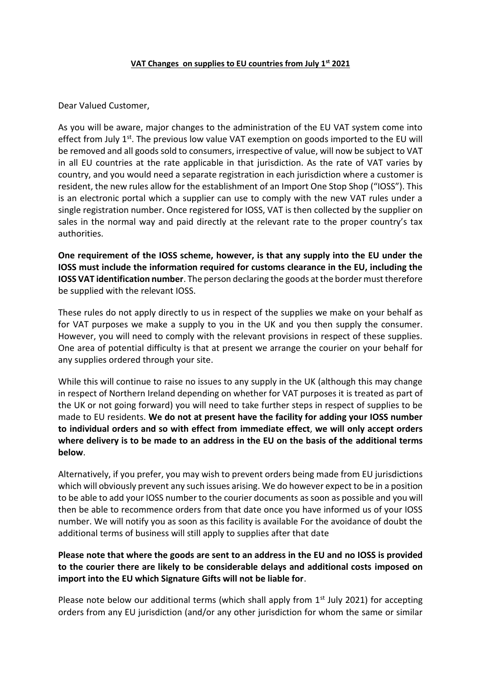## **VAT Changes on supplies to EU countries from July 1st 2021**

Dear Valued Customer,

As you will be aware, major changes to the administration of the EU VAT system come into effect from July  $1<sup>st</sup>$ . The previous low value VAT exemption on goods imported to the EU will be removed and all goods sold to consumers, irrespective of value, will now be subject to VAT in all EU countries at the rate applicable in that jurisdiction. As the rate of VAT varies by country, and you would need a separate registration in each jurisdiction where a customer is resident, the new rules allow for the establishment of an Import One Stop Shop ("IOSS"). This is an electronic portal which a supplier can use to comply with the new VAT rules under a single registration number. Once registered for IOSS, VAT is then collected by the supplier on sales in the normal way and paid directly at the relevant rate to the proper country's tax authorities.

**One requirement of the IOSS scheme, however, is that any supply into the EU under the IOSS must include the information required for customs clearance in the EU, including the IOSS VAT identification number**. The person declaring the goods at the border must therefore be supplied with the relevant IOSS.

These rules do not apply directly to us in respect of the supplies we make on your behalf as for VAT purposes we make a supply to you in the UK and you then supply the consumer. However, you will need to comply with the relevant provisions in respect of these supplies. One area of potential difficulty is that at present we arrange the courier on your behalf for any supplies ordered through your site.

While this will continue to raise no issues to any supply in the UK (although this may change in respect of Northern Ireland depending on whether for VAT purposes it is treated as part of the UK or not going forward) you will need to take further steps in respect of supplies to be made to EU residents. **We do not at present have the facility for adding your IOSS number to individual orders and so with effect from immediate effect**, **we will only accept orders where delivery is to be made to an address in the EU on the basis of the additional terms below**.

Alternatively, if you prefer, you may wish to prevent orders being made from EU jurisdictions which will obviously prevent any such issues arising. We do however expect to be in a position to be able to add your IOSS number to the courier documents as soon as possible and you will then be able to recommence orders from that date once you have informed us of your IOSS number. We will notify you as soon as this facility is available For the avoidance of doubt the additional terms of business will still apply to supplies after that date

## **Please note that where the goods are sent to an address in the EU and no IOSS is provided to the courier there are likely to be considerable delays and additional costs imposed on import into the EU which Signature Gifts will not be liable for**.

Please note below our additional terms (which shall apply from  $1<sup>st</sup>$  July 2021) for accepting orders from any EU jurisdiction (and/or any other jurisdiction for whom the same or similar